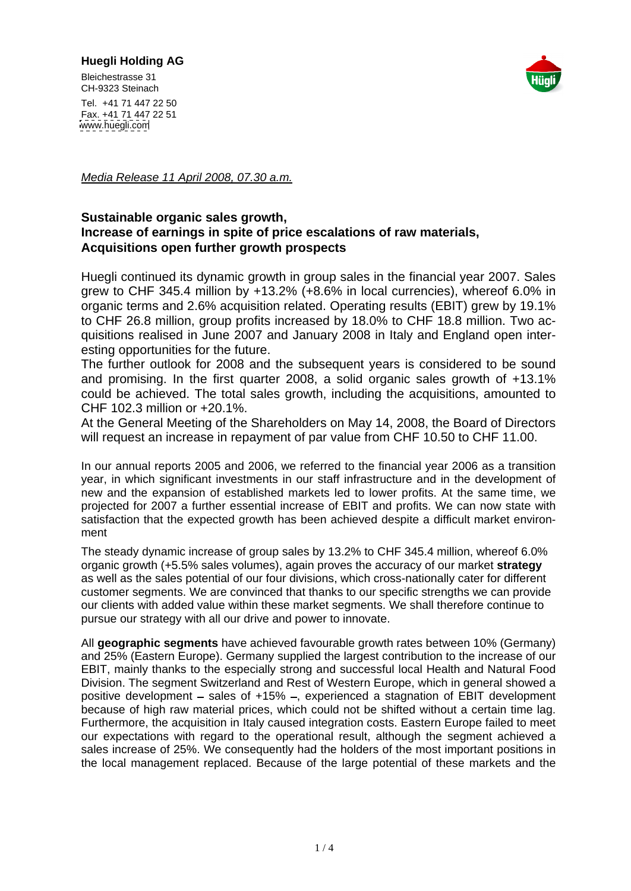## **Huegli Holding AG**





Tel. +41 71 447 22 50 Fax. +41 71 447 22 51 [www.huegli.com](http://www.huegli.com)

Media Release 11 April 2008, 07.30 a.m.

## **Sustainable organic sales growth, Increase of earnings in spite of price escalations of raw materials, Acquisitions open further growth prospects**

Huegli continued its dynamic growth in group sales in the financial year 2007. Sales grew to CHF 345.4 million by +13.2% (+8.6% in local currencies), whereof 6.0% in organic terms and 2.6% acquisition related. Operating results (EBIT) grew by 19.1% to CHF 26.8 million, group profits increased by 18.0% to CHF 18.8 million. Two acquisitions realised in June 2007 and January 2008 in Italy and England open interesting opportunities for the future.

The further outlook for 2008 and the subsequent years isconsidered to be sound and promising. In the first quarter 2008, a solid organic sales growth of +13.1% could be achieved. The total sales growth, including the acquisitions, amounted to CHF 102.3 million or +20.1%.

At the General Meeting of the Shareholders on May 14, 2008, the Board of Directors will request an increase in repayment of par value from CHF 10.50 to CHF 11.00.

In our annual reports 2005 and 2006, we referred to the financial year 2006 as a transition year, in which significant investments in our staff infrastructure and in the development of new and the expansion of established markets led to lower profits. At the same time, we projected for 2007 a further essential increase of EBIT and profits. We can now state with satisfaction that the expected growth has been achieved despite a difficult market environment with the contract of the contract of the contract of the contract of the contract of the contract of the contract of the contract of the contract of the contract of the contract of the contract of the contract of the

The steady dynamic increase of group sales by 13.2% to CHF 345.4 million, whereof 6.0% organic growth (+5.5% sales volumes), again proves the accuracy of our market **strategy** as well as the sales potential of our four divisions, which cross-nationally cater for different customer segments. We are convinced that thanks to our specific strengths we can provide our clients with added value within these market segments. We shall therefore continue to pursue our strategy with all our drive and power to innovate.

All **geographic segments** have achieved favourable growth rates between 10% (Germany) and 25% (Eastern Europe). Germany supplied the largest contribution to the increase of our EBIT, mainly thanks to the especially strong and successful local Health and Natural Food Division. The segment Switzerland and Rest of Western Europe, which in general showed a positive development  $-$  sales of  $+15% -$ , experienced a stagnation of EBIT development because of high raw material prices, which could not be shifted without a certain time lag. Furthermore, the acquisition in Italy caused integration costs. Eastern Europe failed to meet our expectations with regard to the operational result, although the segment achieved a sales increase of 25%. We consequently had the holders of the most important positions in the local management replaced. Because of the large potential of these markets and the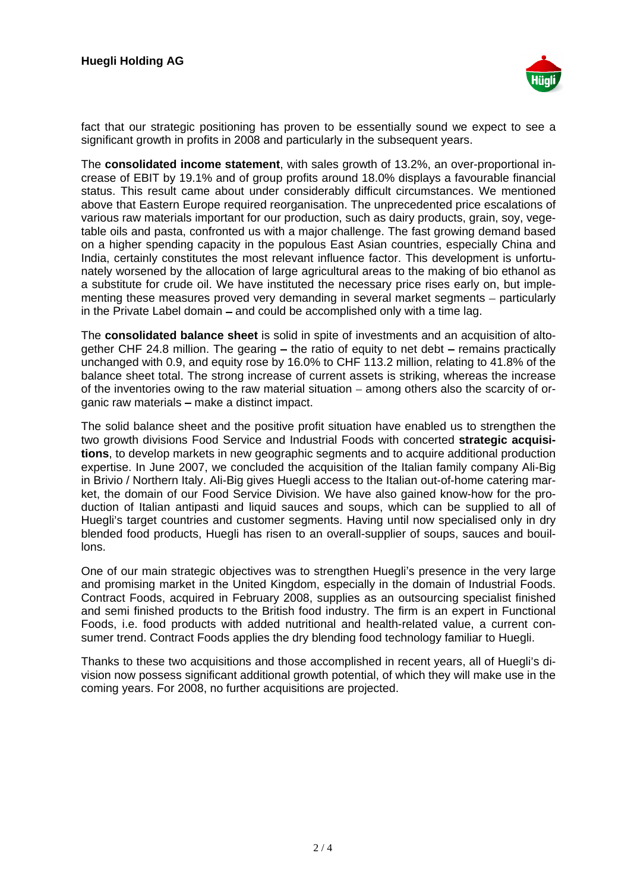

fact that our strategic positioning has proven to be essentially sound we expect to see a significant growth in profits in 2008 and particularly in the subsequent years.

The **consolidated income statement**, with sales growth of 13.2%, an over-proportional increase of EBIT by 19.1% and of group profits around 18.0% displays a favourable financial status. This result came about under considerably difficult circumstances. We mentioned above that Eastern Europe required reorganisation. The unprecedented price escalations of various raw materials important for our production, such as dairy products, grain, soy, vegetable oils and pasta, confronted us with a major challenge. The fast growing demand based on a higher spending capacity in the populous East Asian countries, especially China and India, certainly constitutes the most relevant influence factor. This development is unfortunately worsened by the allocation of large agricultural areas to the making of bio ethanol as a substitute for crude oil. We have instituted the necessary price rises early on, but implementing these measures proved very demanding in several market segments – particularly in the Private Label domain – and could be accomplished only with a time lag.

The **consolidated balance sheet** is solid in spite of investmentsand an acquisition of altogether CHF 24.8 million. The gearing  $-$  the ratio of equity to net debt  $-$  remains practically unchanged with 0.9, and equity rose by 16.0% to CHF 113.2 million, relating to 41.8% of the balance sheet total. The strong increase of current assets is striking, whereas the increase of the inventories owing to the raw material situation  $-$  among others also the scarcity of organic raw materials - make a distinct impact.

The solid balance sheet and the positive profit situation have enabled us to strengthen the two growth divisions Food Service and Industrial Foods with concerted **strategic acquisitions**, to develop markets in new geographic segments and to acquire additional production expertise. In June 2007, we concluded the acquisition of the Italian family company Ali-Big in Brivio / Northern Italy. Ali-Big gives Huegli access to the Italian out-of-home catering market, the domain of our Food Service Division. We have also gained know-how for the production of Italian antipasti and liquid sauces and soups, which can be supplied to all of Huegli's target countries and customer segments. Having until now specialised only in dry blended food products, Huegli has risen to an overall-supplier of soups, sauces and bouillons.

One of our main strategic objectives was to strengthen Huegli's presence in the very large and promising market in the United Kingdom, especially in the domain of Industrial Foods. Contract Foods, acquired in February 2008, supplies as an outsourcing specialist finished and semi finished products to the British food industry. The firm is an expert in Functional Foods, i.e. food products with added nutritional and health-related value, a current con-

sumer trend. Contract Foods applies the dry blending food technology familiar to Huegli.<br>Thanks to these two acquisitions and those accomplished in recent years, all of Huegli's division now possess significant additional growth potential, of which they will make use in the coming years. For 2008, no further acquisitions are projected.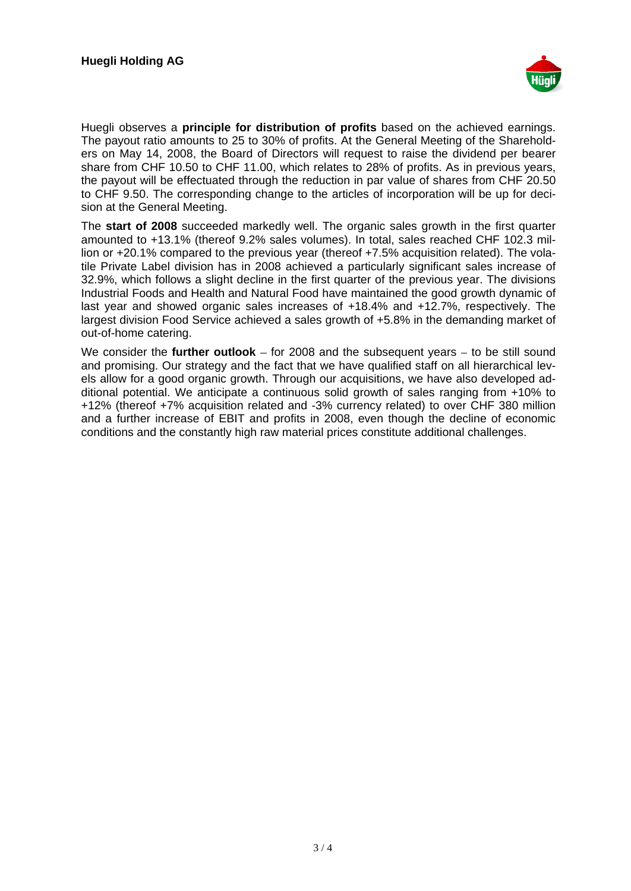

Huegli observes a **principle for distribution of profits** based on the achieved earnings. The payout ratio amounts to 25 to 30% of profits. At the General Meeting of the Shareholders on May 14, 2008, the Board of Directors will request to raise the dividend per bearer share from CHF 10.50 to CHF 11.00, which relates to 28% of profits. As in previous years, the payout will be effectuated through the reduction in par value of shares from CHF 20.50 to CHF 9.50. The corresponding change to the articles of incorporation will be up for decision at the General Meeting.

The **start of 2008** succeeded markedly well. The organic sales growth in the first quarter amounted to +13.1% (thereof 9.2% sales volumes). In total, sales reached CHF 102.3 million or +20.1% compared to the previous year (thereof +7.5% acquisition related). The volatile Private Label division has in 2008 achieved a particularly significant sales increase of 32.9%, which follows a slight decline in the first quarter of the previous year. The divisions Industrial Foods and Health and Natural Food have maintained the good growth dynamic of last year and showed organic sales increases of +18.4% and +12.7%, respectively. The largest division Food Service achieved a sales growth of +5.8% in the demanding market of out-of-home catering.

We consider the **further outlook** – for 2008 and the subsequent years – to be still sound and promising. Our strategy and the fact that we have qualified staff on all hierarchical levels allow for a good organic growth. Through our acquisitions, we have also developed additional potential. We anticipate a continuous solid growth of sales ranging from +10% to +12% (thereof +7% acquisition related and -3% currency related) to over CHF 380 million and a further increase of EBIT and profits in 2008, even though the decline of economic conditions and the constantly high raw material prices constitute additional challenges.